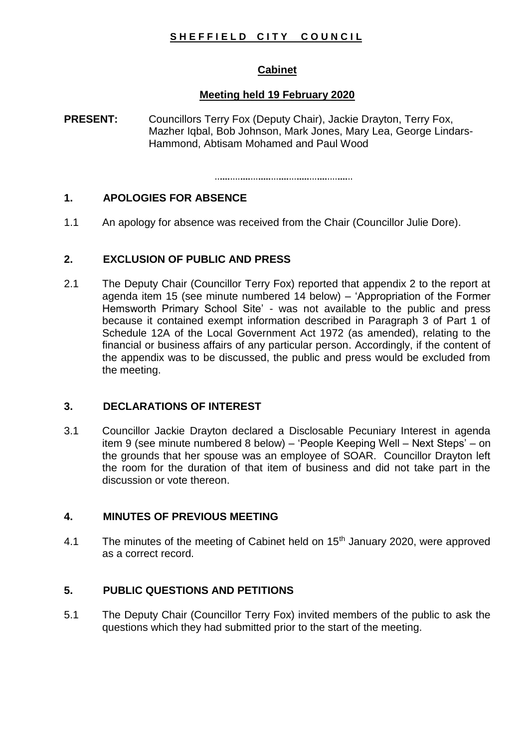# SHEFFIELD CITY COUNCIL

# **Cabinet**

## **Meeting held 19 February 2020**

**PRESENT:** Councillors Terry Fox (Deputy Chair), Jackie Drayton, Terry Fox, Mazher Iqbal, Bob Johnson, Mark Jones, Mary Lea, George Lindars-Hammond, Abtisam Mohamed and Paul Wood

# **1. APOLOGIES FOR ABSENCE**

1.1 An apology for absence was received from the Chair (Councillor Julie Dore).

## **2. EXCLUSION OF PUBLIC AND PRESS**

2.1 The Deputy Chair (Councillor Terry Fox) reported that appendix 2 to the report at agenda item 15 (see minute numbered 14 below) – 'Appropriation of the Former Hemsworth Primary School Site' - was not available to the public and press because it contained exempt information described in Paragraph 3 of Part 1 of Schedule 12A of the Local Government Act 1972 (as amended), relating to the financial or business affairs of any particular person. Accordingly, if the content of the appendix was to be discussed, the public and press would be excluded from the meeting.

## **3. DECLARATIONS OF INTEREST**

3.1 Councillor Jackie Drayton declared a Disclosable Pecuniary Interest in agenda item 9 (see minute numbered 8 below) – 'People Keeping Well – Next Steps' – on the grounds that her spouse was an employee of SOAR. Councillor Drayton left the room for the duration of that item of business and did not take part in the discussion or vote thereon.

## **4. MINUTES OF PREVIOUS MEETING**

4.1 The minutes of the meeting of Cabinet held on  $15<sup>th</sup>$  January 2020, were approved as a correct record.

# **5. PUBLIC QUESTIONS AND PETITIONS**

5.1 The Deputy Chair (Councillor Terry Fox) invited members of the public to ask the questions which they had submitted prior to the start of the meeting.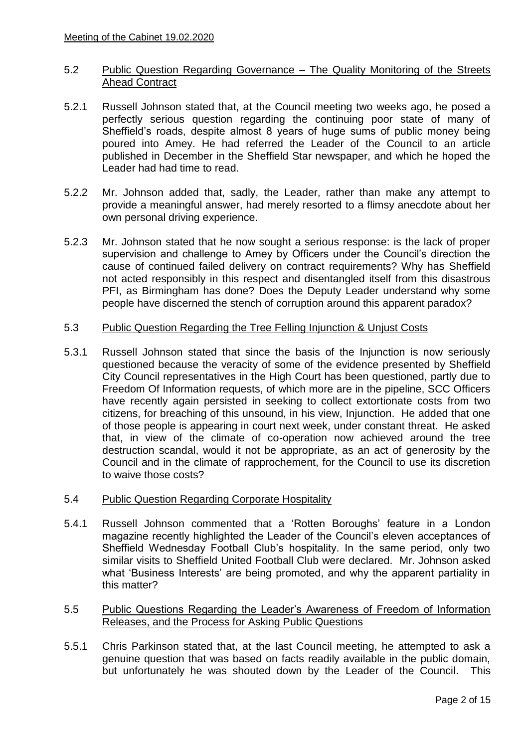### 5.2 Public Question Regarding Governance – The Quality Monitoring of the Streets Ahead Contract

- 5.2.1 Russell Johnson stated that, at the Council meeting two weeks ago, he posed a perfectly serious question regarding the continuing poor state of many of Sheffield's roads, despite almost 8 years of huge sums of public money being poured into Amey. He had referred the Leader of the Council to an article published in December in the Sheffield Star newspaper, and which he hoped the Leader had had time to read.
- 5.2.2 Mr. Johnson added that, sadly, the Leader, rather than make any attempt to provide a meaningful answer, had merely resorted to a flimsy anecdote about her own personal driving experience.
- 5.2.3 Mr. Johnson stated that he now sought a serious response: is the lack of proper supervision and challenge to Amey by Officers under the Council's direction the cause of continued failed delivery on contract requirements? Why has Sheffield not acted responsibly in this respect and disentangled itself from this disastrous PFI, as Birmingham has done? Does the Deputy Leader understand why some people have discerned the stench of corruption around this apparent paradox?

#### 5.3 Public Question Regarding the Tree Felling Injunction & Unjust Costs

5.3.1 Russell Johnson stated that since the basis of the Injunction is now seriously questioned because the veracity of some of the evidence presented by Sheffield City Council representatives in the High Court has been questioned, partly due to Freedom Of Information requests, of which more are in the pipeline, SCC Officers have recently again persisted in seeking to collect extortionate costs from two citizens, for breaching of this unsound, in his view, Injunction. He added that one of those people is appearing in court next week, under constant threat. He asked that, in view of the climate of co-operation now achieved around the tree destruction scandal, would it not be appropriate, as an act of generosity by the Council and in the climate of rapprochement, for the Council to use its discretion to waive those costs?

#### 5.4 Public Question Regarding Corporate Hospitality

- 5.4.1 Russell Johnson commented that a 'Rotten Boroughs' feature in a London magazine recently highlighted the Leader of the Council's eleven acceptances of Sheffield Wednesday Football Club's hospitality. In the same period, only two similar visits to Sheffield United Football Club were declared. Mr. Johnson asked what 'Business Interests' are being promoted, and why the apparent partiality in this matter?
- 5.5 Public Questions Regarding the Leader's Awareness of Freedom of Information Releases, and the Process for Asking Public Questions
- 5.5.1 Chris Parkinson stated that, at the last Council meeting, he attempted to ask a genuine question that was based on facts readily available in the public domain, but unfortunately he was shouted down by the Leader of the Council. This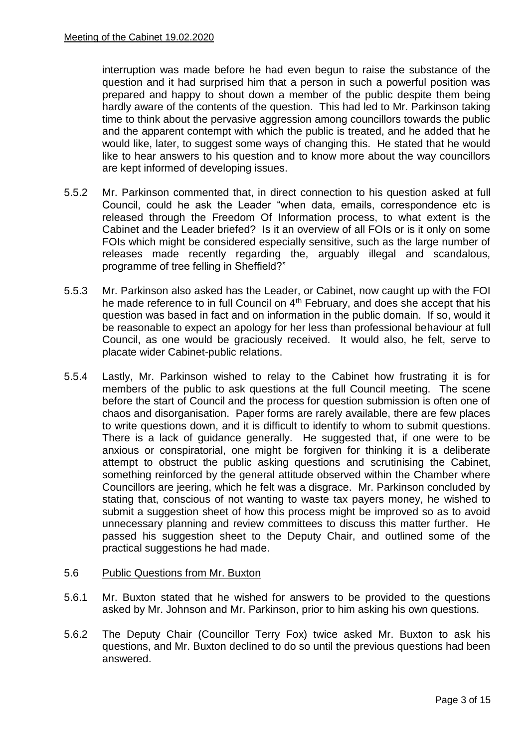interruption was made before he had even begun to raise the substance of the question and it had surprised him that a person in such a powerful position was prepared and happy to shout down a member of the public despite them being hardly aware of the contents of the question. This had led to Mr. Parkinson taking time to think about the pervasive aggression among councillors towards the public and the apparent contempt with which the public is treated, and he added that he would like, later, to suggest some ways of changing this. He stated that he would like to hear answers to his question and to know more about the way councillors are kept informed of developing issues.

- 5.5.2 Mr. Parkinson commented that, in direct connection to his question asked at full Council, could he ask the Leader "when data, emails, correspondence etc is released through the Freedom Of Information process, to what extent is the Cabinet and the Leader briefed? Is it an overview of all FOIs or is it only on some FOIs which might be considered especially sensitive, such as the large number of releases made recently regarding the, arguably illegal and scandalous, programme of tree felling in Sheffield?"
- 5.5.3 Mr. Parkinson also asked has the Leader, or Cabinet, now caught up with the FOI he made reference to in full Council on 4<sup>th</sup> February, and does she accept that his question was based in fact and on information in the public domain. If so, would it be reasonable to expect an apology for her less than professional behaviour at full Council, as one would be graciously received. It would also, he felt, serve to placate wider Cabinet-public relations.
- 5.5.4 Lastly, Mr. Parkinson wished to relay to the Cabinet how frustrating it is for members of the public to ask questions at the full Council meeting. The scene before the start of Council and the process for question submission is often one of chaos and disorganisation. Paper forms are rarely available, there are few places to write questions down, and it is difficult to identify to whom to submit questions. There is a lack of guidance generally. He suggested that, if one were to be anxious or conspiratorial, one might be forgiven for thinking it is a deliberate attempt to obstruct the public asking questions and scrutinising the Cabinet, something reinforced by the general attitude observed within the Chamber where Councillors are jeering, which he felt was a disgrace. Mr. Parkinson concluded by stating that, conscious of not wanting to waste tax payers money, he wished to submit a suggestion sheet of how this process might be improved so as to avoid unnecessary planning and review committees to discuss this matter further. He passed his suggestion sheet to the Deputy Chair, and outlined some of the practical suggestions he had made.

#### 5.6 Public Questions from Mr. Buxton

- 5.6.1 Mr. Buxton stated that he wished for answers to be provided to the questions asked by Mr. Johnson and Mr. Parkinson, prior to him asking his own questions.
- 5.6.2 The Deputy Chair (Councillor Terry Fox) twice asked Mr. Buxton to ask his questions, and Mr. Buxton declined to do so until the previous questions had been answered.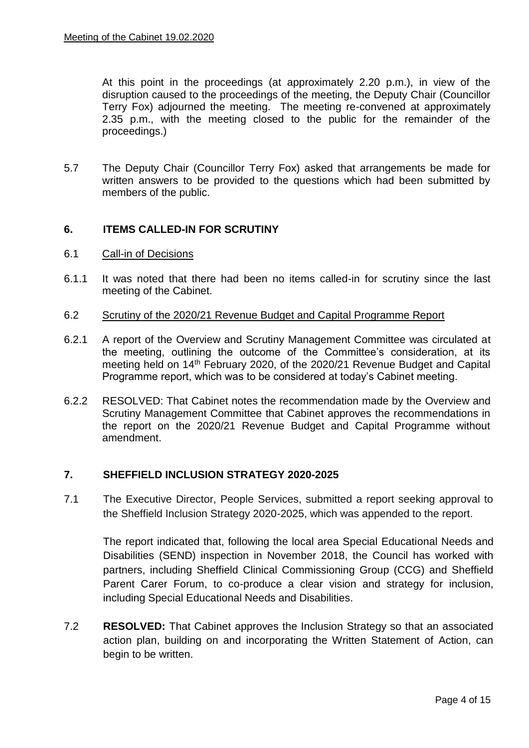At this point in the proceedings (at approximately 2.20 p.m.), in view of the disruption caused to the proceedings of the meeting, the Deputy Chair (Councillor Terry Fox) adjourned the meeting. The meeting re-convened at approximately 2.35 p.m., with the meeting closed to the public for the remainder of the proceedings.)

5.7 The Deputy Chair (Councillor Terry Fox) asked that arrangements be made for written answers to be provided to the questions which had been submitted by members of the public.

## **6. ITEMS CALLED-IN FOR SCRUTINY**

- 6.1 Call-in of Decisions
- 6.1.1 It was noted that there had been no items called-in for scrutiny since the last meeting of the Cabinet.
- 6.2 Scrutiny of the 2020/21 Revenue Budget and Capital Programme Report
- 6.2.1 A report of the Overview and Scrutiny Management Committee was circulated at the meeting, outlining the outcome of the Committee's consideration, at its meeting held on 14<sup>th</sup> February 2020, of the 2020/21 Revenue Budget and Capital Programme report, which was to be considered at today's Cabinet meeting.
- 6.2.2 RESOLVED: That Cabinet notes the recommendation made by the Overview and Scrutiny Management Committee that Cabinet approves the recommendations in the report on the 2020/21 Revenue Budget and Capital Programme without amendment.

#### **7. SHEFFIELD INCLUSION STRATEGY 2020-2025**

7.1 The Executive Director, People Services, submitted a report seeking approval to the Sheffield Inclusion Strategy 2020-2025, which was appended to the report.

The report indicated that, following the local area Special Educational Needs and Disabilities (SEND) inspection in November 2018, the Council has worked with partners, including Sheffield Clinical Commissioning Group (CCG) and Sheffield Parent Carer Forum, to co-produce a clear vision and strategy for inclusion, including Special Educational Needs and Disabilities.

7.2 **RESOLVED:** That Cabinet approves the Inclusion Strategy so that an associated action plan, building on and incorporating the Written Statement of Action, can begin to be written.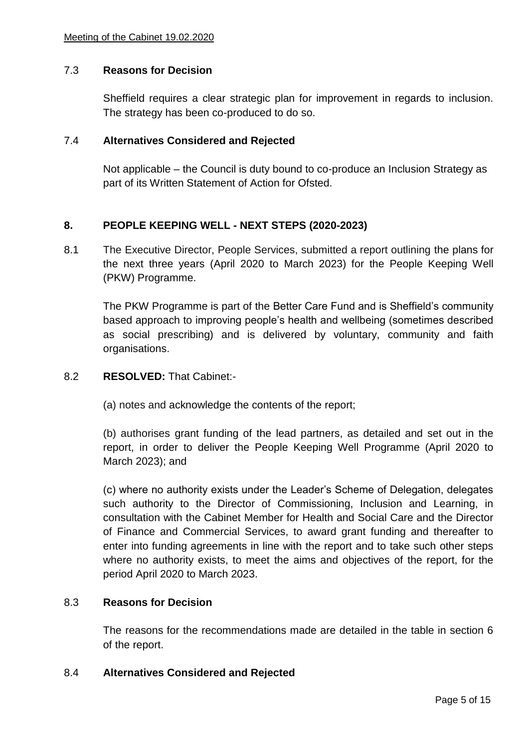### 7.3 **Reasons for Decision**

Sheffield requires a clear strategic plan for improvement in regards to inclusion. The strategy has been co-produced to do so.

#### 7.4 **Alternatives Considered and Rejected**

Not applicable – the Council is duty bound to co-produce an Inclusion Strategy as part of its Written Statement of Action for Ofsted.

### **8. PEOPLE KEEPING WELL - NEXT STEPS (2020-2023)**

8.1 The Executive Director, People Services, submitted a report outlining the plans for the next three years (April 2020 to March 2023) for the People Keeping Well (PKW) Programme.

The PKW Programme is part of the Better Care Fund and is Sheffield's community based approach to improving people's health and wellbeing (sometimes described as social prescribing) and is delivered by voluntary, community and faith organisations.

#### 8.2 **RESOLVED:** That Cabinet:-

(a) notes and acknowledge the contents of the report;

(b) authorises grant funding of the lead partners, as detailed and set out in the report, in order to deliver the People Keeping Well Programme (April 2020 to March 2023); and

(c) where no authority exists under the Leader's Scheme of Delegation, delegates such authority to the Director of Commissioning, Inclusion and Learning, in consultation with the Cabinet Member for Health and Social Care and the Director of Finance and Commercial Services, to award grant funding and thereafter to enter into funding agreements in line with the report and to take such other steps where no authority exists, to meet the aims and objectives of the report, for the period April 2020 to March 2023.

#### 8.3 **Reasons for Decision**

The reasons for the recommendations made are detailed in the table in section 6 of the report.

#### 8.4 **Alternatives Considered and Rejected**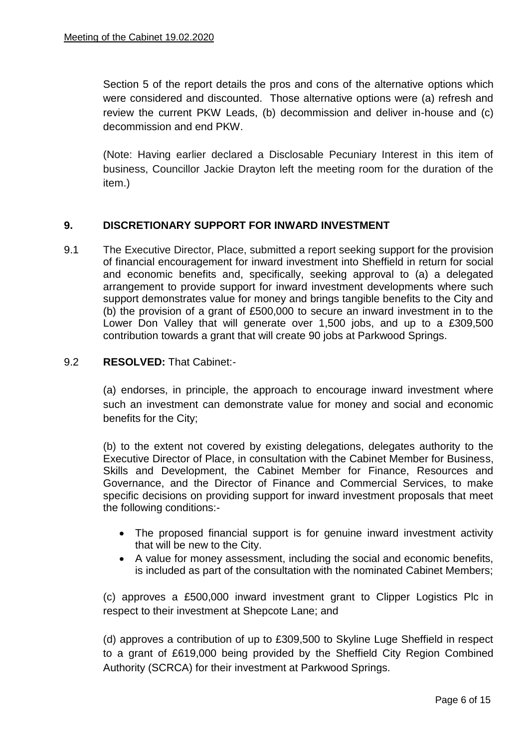Section 5 of the report details the pros and cons of the alternative options which were considered and discounted. Those alternative options were (a) refresh and review the current PKW Leads, (b) decommission and deliver in-house and (c) decommission and end PKW.

(Note: Having earlier declared a Disclosable Pecuniary Interest in this item of business, Councillor Jackie Drayton left the meeting room for the duration of the item.)

## **9. DISCRETIONARY SUPPORT FOR INWARD INVESTMENT**

9.1 The Executive Director, Place, submitted a report seeking support for the provision of financial encouragement for inward investment into Sheffield in return for social and economic benefits and, specifically, seeking approval to (a) a delegated arrangement to provide support for inward investment developments where such support demonstrates value for money and brings tangible benefits to the City and (b) the provision of a grant of £500,000 to secure an inward investment in to the Lower Don Valley that will generate over 1,500 jobs, and up to a £309,500 contribution towards a grant that will create 90 jobs at Parkwood Springs.

### 9.2 **RESOLVED:** That Cabinet:-

(a) endorses, in principle, the approach to encourage inward investment where such an investment can demonstrate value for money and social and economic benefits for the City;

(b) to the extent not covered by existing delegations, delegates authority to the Executive Director of Place, in consultation with the Cabinet Member for Business, Skills and Development, the Cabinet Member for Finance, Resources and Governance, and the Director of Finance and Commercial Services, to make specific decisions on providing support for inward investment proposals that meet the following conditions:-

- The proposed financial support is for genuine inward investment activity that will be new to the City.
- A value for money assessment, including the social and economic benefits, is included as part of the consultation with the nominated Cabinet Members;

(c) approves a £500,000 inward investment grant to Clipper Logistics Plc in respect to their investment at Shepcote Lane; and

(d) approves a contribution of up to £309,500 to Skyline Luge Sheffield in respect to a grant of £619,000 being provided by the Sheffield City Region Combined Authority (SCRCA) for their investment at Parkwood Springs.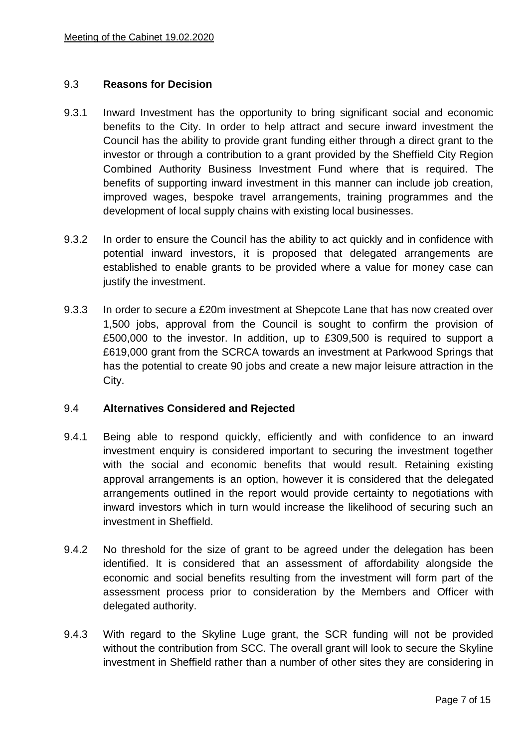### 9.3 **Reasons for Decision**

- 9.3.1 Inward Investment has the opportunity to bring significant social and economic benefits to the City. In order to help attract and secure inward investment the Council has the ability to provide grant funding either through a direct grant to the investor or through a contribution to a grant provided by the Sheffield City Region Combined Authority Business Investment Fund where that is required. The benefits of supporting inward investment in this manner can include job creation, improved wages, bespoke travel arrangements, training programmes and the development of local supply chains with existing local businesses.
- 9.3.2 In order to ensure the Council has the ability to act quickly and in confidence with potential inward investors, it is proposed that delegated arrangements are established to enable grants to be provided where a value for money case can justify the investment.
- 9.3.3 In order to secure a £20m investment at Shepcote Lane that has now created over 1,500 jobs, approval from the Council is sought to confirm the provision of £500,000 to the investor. In addition, up to £309,500 is required to support a £619,000 grant from the SCRCA towards an investment at Parkwood Springs that has the potential to create 90 jobs and create a new major leisure attraction in the City.

## 9.4 **Alternatives Considered and Rejected**

- 9.4.1 Being able to respond quickly, efficiently and with confidence to an inward investment enquiry is considered important to securing the investment together with the social and economic benefits that would result. Retaining existing approval arrangements is an option, however it is considered that the delegated arrangements outlined in the report would provide certainty to negotiations with inward investors which in turn would increase the likelihood of securing such an investment in Sheffield.
- 9.4.2 No threshold for the size of grant to be agreed under the delegation has been identified. It is considered that an assessment of affordability alongside the economic and social benefits resulting from the investment will form part of the assessment process prior to consideration by the Members and Officer with delegated authority.
- 9.4.3 With regard to the Skyline Luge grant, the SCR funding will not be provided without the contribution from SCC. The overall grant will look to secure the Skyline investment in Sheffield rather than a number of other sites they are considering in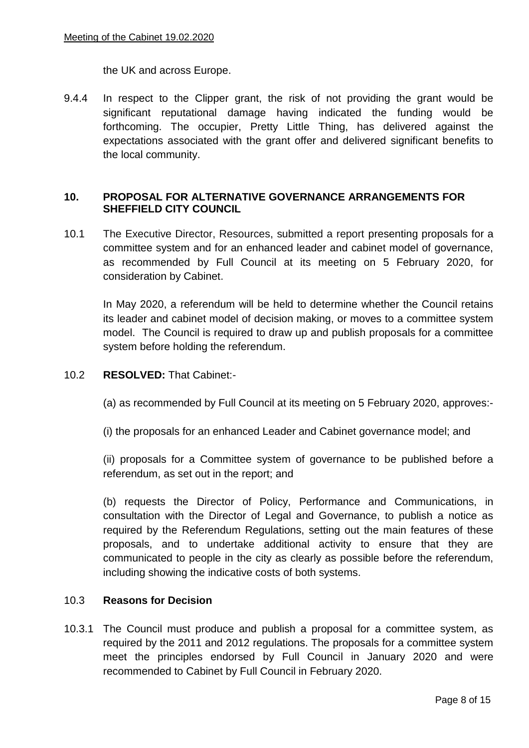the UK and across Europe.

9.4.4 In respect to the Clipper grant, the risk of not providing the grant would be significant reputational damage having indicated the funding would be forthcoming. The occupier, Pretty Little Thing, has delivered against the expectations associated with the grant offer and delivered significant benefits to the local community.

# **10. PROPOSAL FOR ALTERNATIVE GOVERNANCE ARRANGEMENTS FOR SHEFFIELD CITY COUNCIL**

10.1 The Executive Director, Resources, submitted a report presenting proposals for a committee system and for an enhanced leader and cabinet model of governance, as recommended by Full Council at its meeting on 5 February 2020, for consideration by Cabinet.

In May 2020, a referendum will be held to determine whether the Council retains its leader and cabinet model of decision making, or moves to a committee system model. The Council is required to draw up and publish proposals for a committee system before holding the referendum.

- 10.2 **RESOLVED:** That Cabinet:-
	- (a) as recommended by Full Council at its meeting on 5 February 2020, approves:-
	- (i) the proposals for an enhanced Leader and Cabinet governance model; and

(ii) proposals for a Committee system of governance to be published before a referendum, as set out in the report; and

(b) requests the Director of Policy, Performance and Communications, in consultation with the Director of Legal and Governance, to publish a notice as required by the Referendum Regulations, setting out the main features of these proposals, and to undertake additional activity to ensure that they are communicated to people in the city as clearly as possible before the referendum, including showing the indicative costs of both systems.

#### 10.3 **Reasons for Decision**

10.3.1 The Council must produce and publish a proposal for a committee system, as required by the 2011 and 2012 regulations. The proposals for a committee system meet the principles endorsed by Full Council in January 2020 and were recommended to Cabinet by Full Council in February 2020.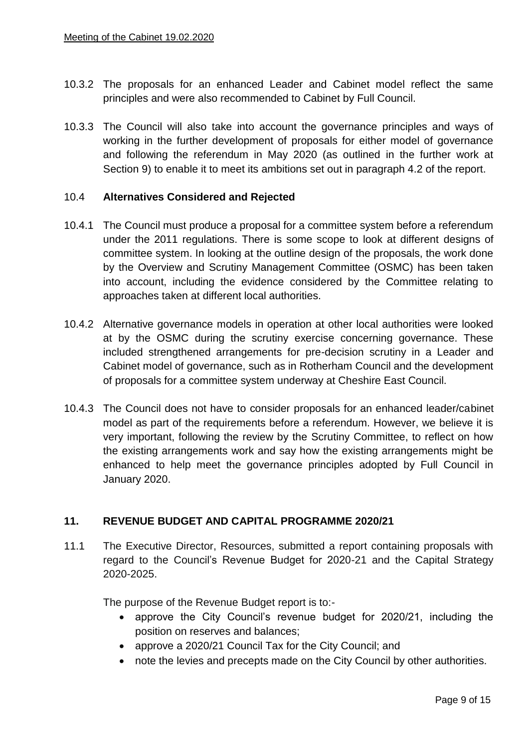- 10.3.2 The proposals for an enhanced Leader and Cabinet model reflect the same principles and were also recommended to Cabinet by Full Council.
- 10.3.3 The Council will also take into account the governance principles and ways of working in the further development of proposals for either model of governance and following the referendum in May 2020 (as outlined in the further work at Section 9) to enable it to meet its ambitions set out in paragraph 4.2 of the report.

### 10.4 **Alternatives Considered and Rejected**

- 10.4.1 The Council must produce a proposal for a committee system before a referendum under the 2011 regulations. There is some scope to look at different designs of committee system. In looking at the outline design of the proposals, the work done by the Overview and Scrutiny Management Committee (OSMC) has been taken into account, including the evidence considered by the Committee relating to approaches taken at different local authorities.
- 10.4.2 Alternative governance models in operation at other local authorities were looked at by the OSMC during the scrutiny exercise concerning governance. These included strengthened arrangements for pre-decision scrutiny in a Leader and Cabinet model of governance, such as in Rotherham Council and the development of proposals for a committee system underway at Cheshire East Council.
- 10.4.3 The Council does not have to consider proposals for an enhanced leader/cabinet model as part of the requirements before a referendum. However, we believe it is very important, following the review by the Scrutiny Committee, to reflect on how the existing arrangements work and say how the existing arrangements might be enhanced to help meet the governance principles adopted by Full Council in January 2020.

# **11. REVENUE BUDGET AND CAPITAL PROGRAMME 2020/21**

11.1 The Executive Director, Resources, submitted a report containing proposals with regard to the Council's Revenue Budget for 2020-21 and the Capital Strategy 2020-2025.

The purpose of the Revenue Budget report is to:-

- approve the City Council's revenue budget for 2020/21, including the position on reserves and balances;
- approve a 2020/21 Council Tax for the City Council; and
- note the levies and precepts made on the City Council by other authorities.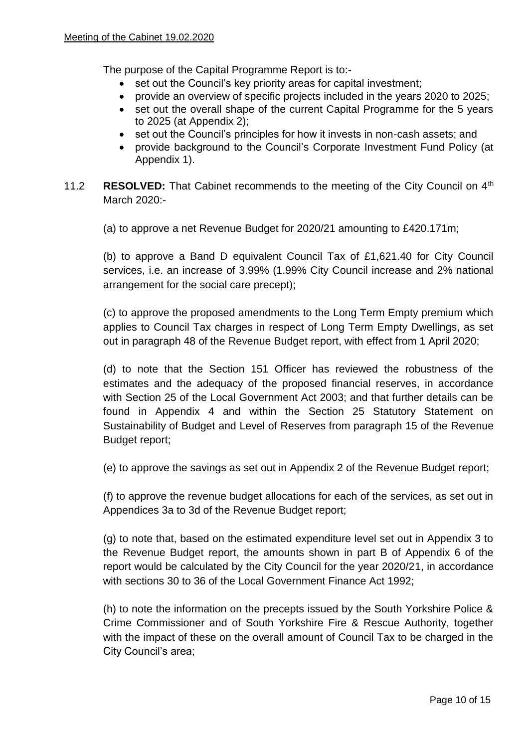The purpose of the Capital Programme Report is to:-

- set out the Council's key priority areas for capital investment;
- provide an overview of specific projects included in the years 2020 to 2025;
- set out the overall shape of the current Capital Programme for the 5 years to 2025 (at Appendix 2);
- set out the Council's principles for how it invests in non-cash assets; and
- provide background to the Council's Corporate Investment Fund Policy (at Appendix 1).
- 11.2 **RESOLVED:** That Cabinet recommends to the meeting of the City Council on 4<sup>th</sup> March 2020:-

(a) to approve a net Revenue Budget for 2020/21 amounting to £420.171m;

(b) to approve a Band D equivalent Council Tax of £1,621.40 for City Council services, i.e. an increase of 3.99% (1.99% City Council increase and 2% national arrangement for the social care precept);

(c) to approve the proposed amendments to the Long Term Empty premium which applies to Council Tax charges in respect of Long Term Empty Dwellings, as set out in paragraph 48 of the Revenue Budget report, with effect from 1 April 2020;

(d) to note that the Section 151 Officer has reviewed the robustness of the estimates and the adequacy of the proposed financial reserves, in accordance with Section 25 of the Local Government Act 2003; and that further details can be found in Appendix 4 and within the Section 25 Statutory Statement on Sustainability of Budget and Level of Reserves from paragraph 15 of the Revenue Budget report;

(e) to approve the savings as set out in Appendix 2 of the Revenue Budget report;

(f) to approve the revenue budget allocations for each of the services, as set out in Appendices 3a to 3d of the Revenue Budget report;

(g) to note that, based on the estimated expenditure level set out in Appendix 3 to the Revenue Budget report, the amounts shown in part B of Appendix 6 of the report would be calculated by the City Council for the year 2020/21, in accordance with sections 30 to 36 of the Local Government Finance Act 1992;

(h) to note the information on the precepts issued by the South Yorkshire Police & Crime Commissioner and of South Yorkshire Fire & Rescue Authority, together with the impact of these on the overall amount of Council Tax to be charged in the City Council's area;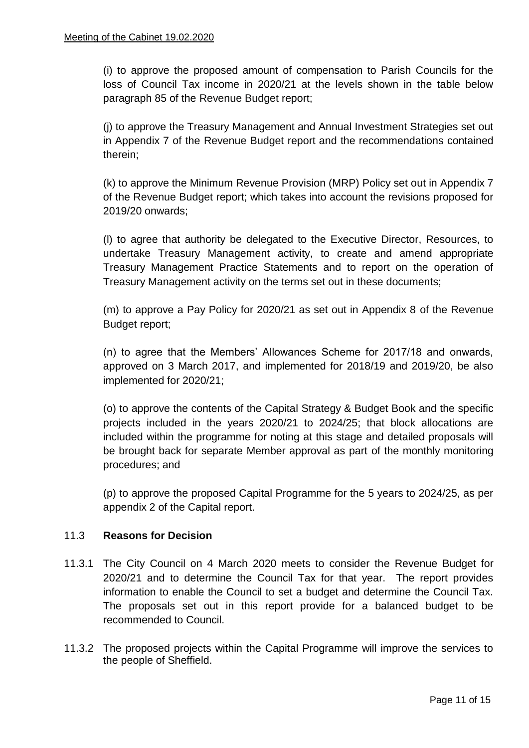(i) to approve the proposed amount of compensation to Parish Councils for the loss of Council Tax income in 2020/21 at the levels shown in the table below paragraph 85 of the Revenue Budget report;

(j) to approve the Treasury Management and Annual Investment Strategies set out in Appendix 7 of the Revenue Budget report and the recommendations contained therein;

(k) to approve the Minimum Revenue Provision (MRP) Policy set out in Appendix 7 of the Revenue Budget report; which takes into account the revisions proposed for 2019/20 onwards;

(l) to agree that authority be delegated to the Executive Director, Resources, to undertake Treasury Management activity, to create and amend appropriate Treasury Management Practice Statements and to report on the operation of Treasury Management activity on the terms set out in these documents;

(m) to approve a Pay Policy for 2020/21 as set out in Appendix 8 of the Revenue Budget report;

(n) to agree that the Members' Allowances Scheme for 2017/18 and onwards, approved on 3 March 2017, and implemented for 2018/19 and 2019/20, be also implemented for 2020/21;

(o) to approve the contents of the Capital Strategy & Budget Book and the specific projects included in the years 2020/21 to 2024/25; that block allocations are included within the programme for noting at this stage and detailed proposals will be brought back for separate Member approval as part of the monthly monitoring procedures; and

(p) to approve the proposed Capital Programme for the 5 years to 2024/25, as per appendix 2 of the Capital report.

# 11.3 **Reasons for Decision**

- 11.3.1 The City Council on 4 March 2020 meets to consider the Revenue Budget for 2020/21 and to determine the Council Tax for that year. The report provides information to enable the Council to set a budget and determine the Council Tax. The proposals set out in this report provide for a balanced budget to be recommended to Council.
- 11.3.2 The proposed projects within the Capital Programme will improve the services to the people of Sheffield.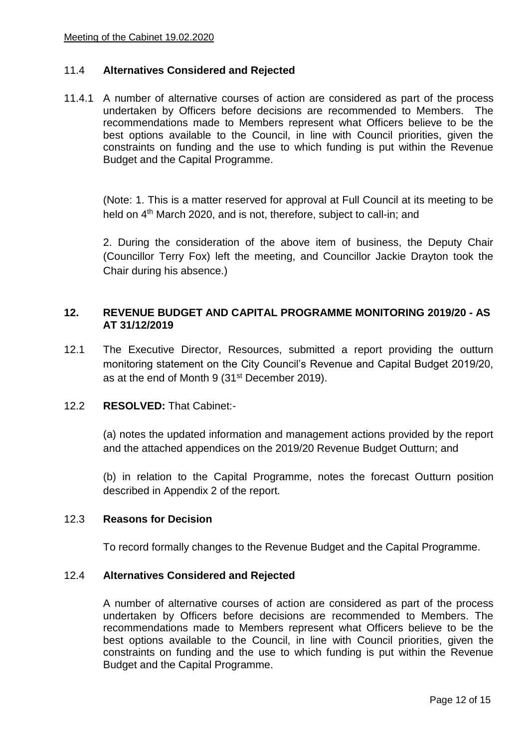## 11.4 **Alternatives Considered and Rejected**

11.4.1 A number of alternative courses of action are considered as part of the process undertaken by Officers before decisions are recommended to Members. The recommendations made to Members represent what Officers believe to be the best options available to the Council, in line with Council priorities, given the constraints on funding and the use to which funding is put within the Revenue Budget and the Capital Programme.

(Note: 1. This is a matter reserved for approval at Full Council at its meeting to be held on 4<sup>th</sup> March 2020, and is not, therefore, subject to call-in; and

2. During the consideration of the above item of business, the Deputy Chair (Councillor Terry Fox) left the meeting, and Councillor Jackie Drayton took the Chair during his absence.)

### **12. REVENUE BUDGET AND CAPITAL PROGRAMME MONITORING 2019/20 - AS AT 31/12/2019**

12.1 The Executive Director, Resources, submitted a report providing the outturn monitoring statement on the City Council's Revenue and Capital Budget 2019/20, as at the end of Month 9 (31st December 2019).

## 12.2 **RESOLVED:** That Cabinet:-

(a) notes the updated information and management actions provided by the report and the attached appendices on the 2019/20 Revenue Budget Outturn; and

(b) in relation to the Capital Programme, notes the forecast Outturn position described in Appendix 2 of the report.

#### 12.3 **Reasons for Decision**

To record formally changes to the Revenue Budget and the Capital Programme.

#### 12.4 **Alternatives Considered and Rejected**

A number of alternative courses of action are considered as part of the process undertaken by Officers before decisions are recommended to Members. The recommendations made to Members represent what Officers believe to be the best options available to the Council, in line with Council priorities, given the constraints on funding and the use to which funding is put within the Revenue Budget and the Capital Programme.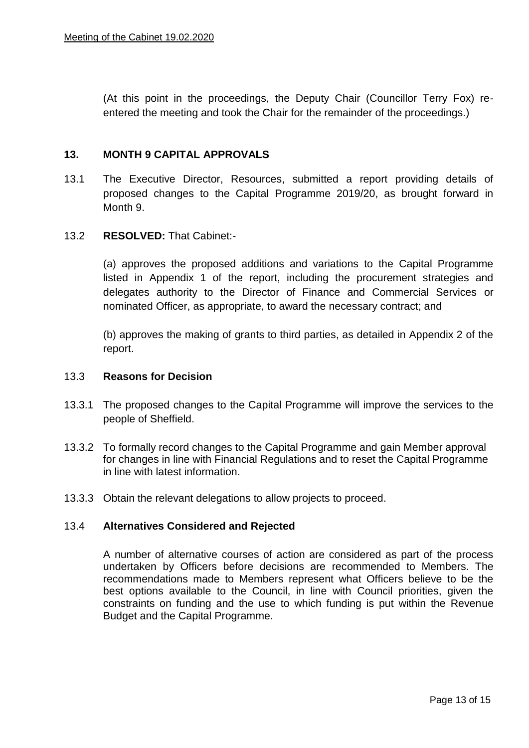(At this point in the proceedings, the Deputy Chair (Councillor Terry Fox) reentered the meeting and took the Chair for the remainder of the proceedings.)

### **13. MONTH 9 CAPITAL APPROVALS**

13.1 The Executive Director, Resources, submitted a report providing details of proposed changes to the Capital Programme 2019/20, as brought forward in Month 9.

### 13.2 **RESOLVED:** That Cabinet:-

(a) approves the proposed additions and variations to the Capital Programme listed in Appendix 1 of the report, including the procurement strategies and delegates authority to the Director of Finance and Commercial Services or nominated Officer, as appropriate, to award the necessary contract; and

(b) approves the making of grants to third parties, as detailed in Appendix 2 of the report.

#### 13.3 **Reasons for Decision**

- 13.3.1 The proposed changes to the Capital Programme will improve the services to the people of Sheffield.
- 13.3.2 To formally record changes to the Capital Programme and gain Member approval for changes in line with Financial Regulations and to reset the Capital Programme in line with latest information.
- 13.3.3 Obtain the relevant delegations to allow projects to proceed.

#### 13.4 **Alternatives Considered and Rejected**

A number of alternative courses of action are considered as part of the process undertaken by Officers before decisions are recommended to Members. The recommendations made to Members represent what Officers believe to be the best options available to the Council, in line with Council priorities, given the constraints on funding and the use to which funding is put within the Revenue Budget and the Capital Programme.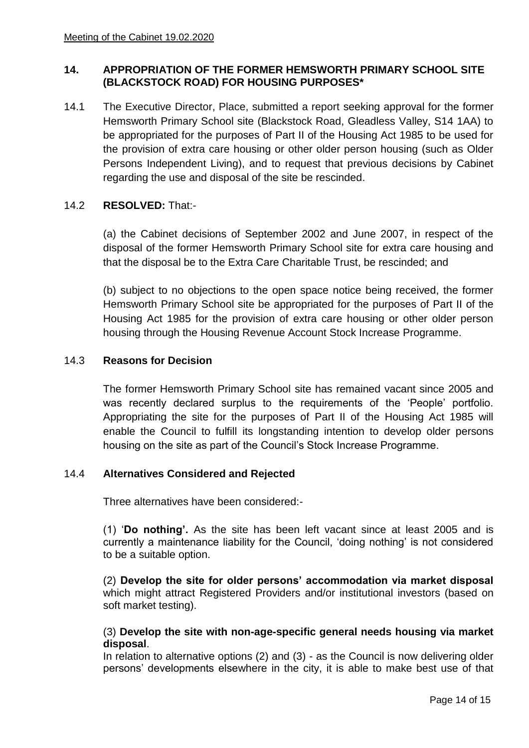## **14. APPROPRIATION OF THE FORMER HEMSWORTH PRIMARY SCHOOL SITE (BLACKSTOCK ROAD) FOR HOUSING PURPOSES\***

14.1 The Executive Director, Place, submitted a report seeking approval for the former Hemsworth Primary School site (Blackstock Road, Gleadless Valley, S14 1AA) to be appropriated for the purposes of Part II of the Housing Act 1985 to be used for the provision of extra care housing or other older person housing (such as Older Persons Independent Living), and to request that previous decisions by Cabinet regarding the use and disposal of the site be rescinded.

# 14.2 **RESOLVED:** That:-

(a) the Cabinet decisions of September 2002 and June 2007, in respect of the disposal of the former Hemsworth Primary School site for extra care housing and that the disposal be to the Extra Care Charitable Trust, be rescinded; and

(b) subject to no objections to the open space notice being received, the former Hemsworth Primary School site be appropriated for the purposes of Part II of the Housing Act 1985 for the provision of extra care housing or other older person housing through the Housing Revenue Account Stock Increase Programme.

## 14.3 **Reasons for Decision**

The former Hemsworth Primary School site has remained vacant since 2005 and was recently declared surplus to the requirements of the 'People' portfolio. Appropriating the site for the purposes of Part II of the Housing Act 1985 will enable the Council to fulfill its longstanding intention to develop older persons housing on the site as part of the Council's Stock Increase Programme.

## 14.4 **Alternatives Considered and Rejected**

Three alternatives have been considered:-

(1) '**Do nothing'.** As the site has been left vacant since at least 2005 and is currently a maintenance liability for the Council, 'doing nothing' is not considered to be a suitable option.

(2) **Develop the site for older persons' accommodation via market disposal**  which might attract Registered Providers and/or institutional investors (based on soft market testing).

## (3) **Develop the site with non-age-specific general needs housing via market disposal**.

In relation to alternative options (2) and (3) - as the Council is now delivering older persons' developments elsewhere in the city, it is able to make best use of that